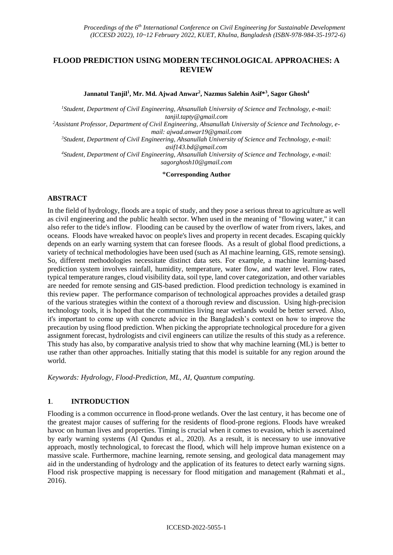# **FLOOD PREDICTION USING MODERN TECHNOLOGICAL APPROACHES: A REVIEW**

**Jannatul Tanjil<sup>1</sup> , Mr. Md. Ajwad Anwar<sup>2</sup> , Nazmus Salehin Asif\*<sup>3</sup> , Sagor Ghosh<sup>4</sup>**

*<sup>1</sup>Student, Department of Civil Engineering, Ahsanullah University of Science and Technology, e-mail: tanjil.tapty@gmail.com*

*2Assistant Professor, Department of Civil Engineering, Ahsanullah University of Science and Technology, email: ajwad.anwar19@gmail.com*

*<sup>3</sup>Student, Department of Civil Engineering, Ahsanullah University of Science and Technology, e-mail: asif143.bd@gmail.com* 

*<sup>4</sup>Student, Department of Civil Engineering, Ahsanullah University of Science and Technology, e-mail: sagorghosh10@gmail.com*

\***Corresponding Author**

### **ABSTRACT**

In the field of hydrology, floods are a topic of study, and they pose a serious threat to agriculture as well as civil engineering and the public health sector. When used in the meaning of "flowing water," it can also refer to the tide's inflow. Flooding can be caused by the overflow of water from rivers, lakes, and oceans. Floods have wreaked havoc on people's lives and property in recent decades. Escaping quickly depends on an early warning system that can foresee floods. As a result of global flood predictions, a variety of technical methodologies have been used (such as AI machine learning, GIS, remote sensing). So, different methodologies necessitate distinct data sets. For example, a machine learning-based prediction system involves rainfall, humidity, temperature, water flow, and water level. Flow rates, typical temperature ranges, cloud visibility data, soil type, land cover categorization, and other variables are needed for remote sensing and GIS-based prediction. Flood prediction technology is examined in this review paper. The performance comparison of technological approaches provides a detailed grasp of the various strategies within the context of a thorough review and discussion. Using high-precision technology tools, it is hoped that the communities living near wetlands would be better served. Also, it's important to come up with concrete advice in the Bangladesh's context on how to improve the precaution by using flood prediction. When picking the appropriate technological procedure for a given assignment forecast, hydrologists and civil engineers can utilize the results of this study as a reference. This study has also, by comparative analysis tried to show that why machine learning (ML) is better to use rather than other approaches. Initially stating that this model is suitable for any region around the world.

*Keywords: Hydrology, Flood-Prediction, ML, AI, Quantum computing.*

#### **1**. **INTRODUCTION**

Flooding is a common occurrence in flood-prone wetlands. Over the last century, it has become one of the greatest major causes of suffering for the residents of flood-prone regions. Floods have wreaked havoc on human lives and properties. Timing is crucial when it comes to evasion, which is ascertained by early warning systems (Al Qundus et al., 2020). As a result, it is necessary to use innovative approach, mostly technological, to forecast the flood, which will help improve human existence on a massive scale. Furthermore, machine learning, remote sensing, and geological data management may aid in the understanding of hydrology and the application of its features to detect early warning signs. Flood risk prospective mapping is necessary for flood mitigation and management (Rahmati et al., 2016).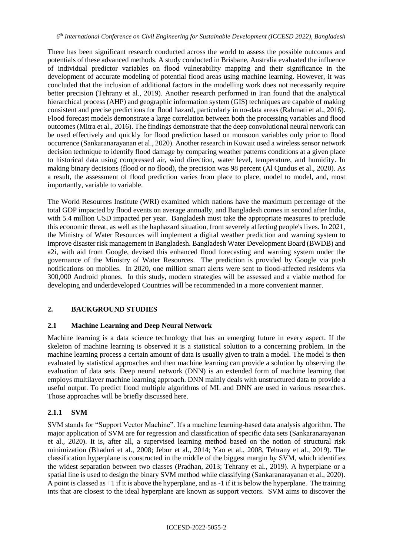There has been significant research conducted across the world to assess the possible outcomes and potentials of these advanced methods. A study conducted in Brisbane, Australia evaluated the influence of individual predictor variables on flood vulnerability mapping and their significance in the development of accurate modeling of potential flood areas using machine learning. However, it was concluded that the inclusion of additional factors in the modelling work does not necessarily require better precision (Tehrany et al., 2019). Another research performed in Iran found that the analytical hierarchical process (AHP) and geographic information system (GIS) techniques are capable of making consistent and precise predictions for flood hazard, particularly in no-data areas (Rahmati et al., 2016). Flood forecast models demonstrate a large correlation between both the processing variables and flood outcomes (Mitra et al., 2016). The findings demonstrate that the deep convolutional neural network can be used effectively and quickly for flood prediction based on monsoon variables only prior to flood occurrence (Sankaranarayanan et al., 2020). Another research in Kuwait used a wireless sensor network decision technique to identify flood damage by comparing weather patterns conditions at a given place to historical data using compressed air, wind direction, water level, temperature, and humidity. In making binary decisions (flood or no flood), the precision was 98 percent (Al Qundus et al., 2020). As a result, the assessment of flood prediction varies from place to place, model to model, and, most importantly, variable to variable.

The World Resources Institute (WRI) examined which nations have the maximum percentage of the total GDP impacted by flood events on average annually, and Bangladesh comes in second after India, with 5.4 million USD impacted per year. Bangladesh must take the appropriate measures to preclude this economic threat, as well as the haphazard situation, from severely affecting people's lives. In 2021, the Ministry of Water Resources will implement a digital weather prediction and warning system to improve disaster risk management in Bangladesh. Bangladesh Water Development Board (BWDB) and a2i, with aid from Google, devised this enhanced flood forecasting and warning system under the governance of the Ministry of Water Resources. The prediction is provided by Google via push notifications on mobiles. In 2020, one million smart alerts were sent to flood-affected residents via 300,000 Android phones. In this study, modern strategies will be assessed and a viable method for developing and underdeveloped Countries will be recommended in a more convenient manner.

# **2. BACKGROUND STUDIES**

# **2.1 Machine Learning and Deep Neural Network**

Machine learning is a data science technology that has an emerging future in every aspect. If the skeleton of machine learning is observed it is a statistical solution to a concerning problem. In the machine learning process a certain amount of data is usually given to train a model. The model is then evaluated by statistical approaches and then machine learning can provide a solution by observing the evaluation of data sets. Deep neural network (DNN) is an extended form of machine learning that employs multilayer machine learning approach. DNN mainly deals with unstructured data to provide a useful output. To predict flood multiple algorithms of ML and DNN are used in various researches. Those approaches will be briefly discussed here.

# **2.1.1 SVM**

SVM stands for "Support Vector Machine". It's a machine learning-based data analysis algorithm. The major application of SVM are for regression and classification of specific data sets (Sankaranarayanan et al., 2020). It is, after all, a supervised learning method based on the notion of structural risk minimization (Bhaduri et al., 2008; Jebur et al., 2014; Yao et al., 2008, Tehrany et al., 2019). The classification hyperplane is constructed in the middle of the biggest margin by SVM, which identifies the widest separation between two classes (Pradhan, 2013; Tehrany et al., 2019). A hyperplane or a spatial line is used to design the binary SVM method while classifying (Sankaranarayanan et al., 2020). A point is classed as +1 if it is above the hyperplane, and as -1 if it is below the hyperplane. The training ints that are closest to the ideal hyperplane are known as support vectors. SVM aims to discover the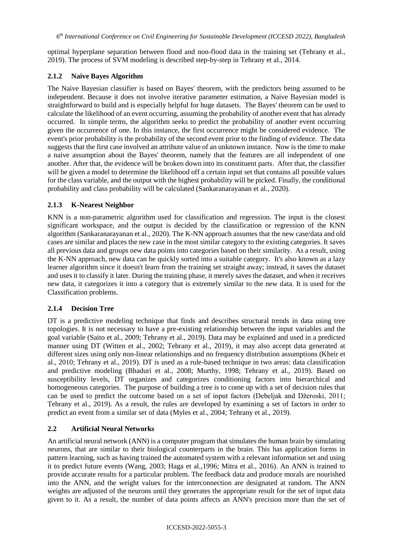optimal hyperplane separation between flood and non-flood data in the training set (Tehrany et al., 2019). The process of SVM modeling is described step-by-step in Tehrany et al., 2014.

### **2.1.2 Naïve Bayes Algorithm**

The Naive Bayesian classifier is based on Bayes' theorem, with the predictors being assumed to be independent. Because it does not involve iterative parameter estimation, a Naive Bayesian model is straightforward to build and is especially helpful for huge datasets. The Bayes' theorem can be used to calculate the likelihood of an event occurring, assuming the probability of another event that has already occurred. In simple terms, the algorithm seeks to predict the probability of another event occurring given the occurrence of one. In this instance, the first occurrence might be considered evidence. The event's prior probability is the probability of the second event prior to the finding of evidence. The data suggests that the first case involved an attribute value of an unknown instance. Now is the time to make a naive assumption about the Bayes' theorem, namely that the features are all independent of one another. After that, the evidence will be broken down into its constituent parts. After that, the classifier will be given a model to determine the likelihood off a certain input set that contains all possible values for the class variable, and the output with the highest probability will be picked. Finally, the conditional probability and class probability will be calculated (Sankaranarayanan et al., 2020).

### **2.1.3 K-Nearest Neighbor**

KNN is a non-parametric algorithm used for classification and regression. The input is the closest significant workspace, and the output is decided by the classification or regression of the KNN algorithm (Sankaranarayanan et al., 2020). The K-NN approach assumes that the new case/data and old cases are similar and places the new case in the most similar category to the existing categories. It saves all previous data and groups new data points into categories based on their similarity. As a result, using the K-NN approach, new data can be quickly sorted into a suitable category. It's also known as a lazy learner algorithm since it doesn't learn from the training set straight away; instead, it saves the dataset and uses it to classify it later. During the training phase, it merely saves the dataset, and when it receives new data, it categorizes it into a category that is extremely similar to the new data. It is used for the Classification problems.

#### **2.1.4 Decision Tree**

DT is a predictive modeling technique that finds and describes structural trends in data using tree topologies. It is not necessary to have a pre-existing relationship between the input variables and the goal variable (Saito et al., 2009; Tehrany et al., 2019). Data may be explained and used in a predicted manner using DT (Witten et al., 2002; Tehrany et al., 2019), it may also accept data generated at different sizes using only non-linear relationships and no frequency distribution assumptions (Kheir et al., 2010; Tehrany et al., 2019). DT is used as a rule-based technique in two areas: data classification and predictive modeling (Bhaduri et al., 2008; Murthy, 1998; Tehrany et al., 2019). Based on susceptibility levels, DT organizes and categorizes conditioning factors into hierarchical and homogeneous categories. The purpose of building a tree is to come up with a set of decision rules that can be used to predict the outcome based on a set of input factors (Debeljak and Džeroski, 2011; Tehrany et al., 2019). As a result, the rules are developed by examining a set of factors in order to predict an event from a similar set of data (Myles et al., 2004; Tehrany et al., 2019).

# **2.2 Artificial Neural Networks**

An artificial neural network (ANN) is a computer program that simulates the human brain by simulating neurons, that are similar to their biological counterparts in the brain. This has application forms in pattern learning, such as having trained the automated system with a relevant information set and using it to predict future events (Wang, 2003; Haga et al.,1996; Mitra et al., 2016). An ANN is trained to provide accurate results for a particular problem. The feedback data and produce morals are nourished into the ANN, and the weight values for the interconnection are designated at random. The ANN weights are adjusted of the neurons until they generates the appropriate result for the set of input data given to it. As a result, the number of data points affects an ANN's precision more than the set of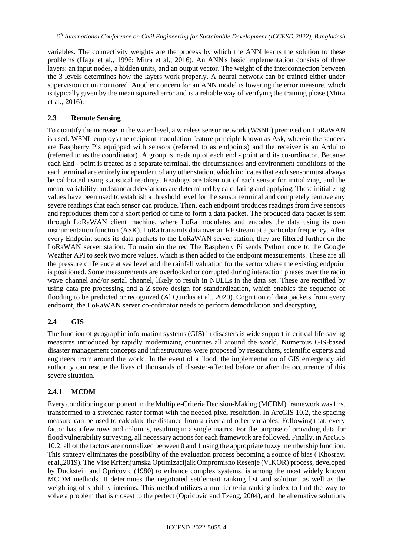variables. The connectivity weights are the process by which the ANN learns the solution to these problems (Haga et al., 1996; Mitra et al., 2016). An ANN's basic implementation consists of three layers: an input nodes, a hidden units, and an output vector. The weight of the interconnection between the 3 levels determines how the layers work properly. A neural network can be trained either under supervision or unmonitored. Another concern for an ANN model is lowering the error measure, which is typically given by the mean squared error and is a reliable way of verifying the training phase (Mitra et al., 2016).

### **2.3 Remote Sensing**

To quantify the increase in the water level, a wireless sensor network (WSNL) premised on LoRaWAN is used. WSNL employs the recipient modulation feature principle known as Ask, wherein the senders are Raspberry Pis equipped with sensors (referred to as endpoints) and the receiver is an Arduino (referred to as the coordinator). A group is made up of each end - point and its co-ordinator. Because each End - point is treated as a separate terminal, the circumstances and environment conditions of the each terminal are entirely independent of any other station, which indicates that each sensor must always be calibrated using statistical readings. Readings are taken out of each sensor for initializing, and the mean, variability, and standard deviations are determined by calculating and applying. These initializing values have been used to establish a threshold level for the sensor terminal and completely remove any severe readings that each sensor can produce. Then, each endpoint produces readings from five sensors and reproduces them for a short period of time to form a data packet. The produced data packet is sent through LoRaWAN client machine, where LoRa modulates and encodes the data using its own instrumentation function (ASK). LoRa transmits data over an RF stream at a particular frequency. After every Endpoint sends its data packets to the LoRaWAN server station, they are filtered further on the LoRaWAN server station. To maintain the rec The Raspberry Pi sends Python code to the Google Weather API to seek two more values, which is then added to the endpoint measurements. These are all the pressure difference at sea level and the rainfall valuation for the sector where the existing endpoint is positioned. Some measurements are overlooked or corrupted during interaction phases over the radio wave channel and/or serial channel, likely to result in NULLs in the data set. These are rectified by using data pre-processing and a Z-score design for standardization, which enables the sequence of flooding to be predicted or recognized (Al Qundus et al., 2020). Cognition of data packets from every endpoint, the LoRaWAN server co-ordinator needs to perform demodulation and decrypting.

# **2.4 GIS**

The function of geographic information systems (GIS) in disasters is wide support in critical life-saving measures introduced by rapidly modernizing countries all around the world. Numerous GIS-based disaster management concepts and infrastructures were proposed by researchers, scientific experts and engineers from around the world. In the event of a flood, the implementation of GIS emergency aid authority can rescue the lives of thousands of disaster-affected before or after the occurrence of this severe situation.

# **2.4.1 MCDM**

Every conditioning component in the Multiple-Criteria Decision-Making (MCDM) framework was first transformed to a stretched raster format with the needed pixel resolution. In ArcGIS 10.2, the spacing measure can be used to calculate the distance from a river and other variables. Following that, every factor has a few rows and columns, resulting in a single matrix. For the purpose of providing data for flood vulnerability surveying, all necessary actions for each framework are followed. Finally, in ArcGIS 10.2, all of the factors are normalized between 0 and 1 using the appropriate fuzzy membership function. This strategy eliminates the possibility of the evaluation process becoming a source of bias ( Khosravi et al.,2019). The Vise Kriterijumska Optimizacijaik Ompromisno Resenje (VIKOR) process, developed by Duckstein and Opricovic (1980) to enhance complex systems, is among the most widely known MCDM methods. It determines the negotiated settlement ranking list and solution, as well as the weighting of stability interims. This method utilizes a multicriteria ranking index to find the way to solve a problem that is closest to the perfect (Opricovic and Tzeng, 2004), and the alternative solutions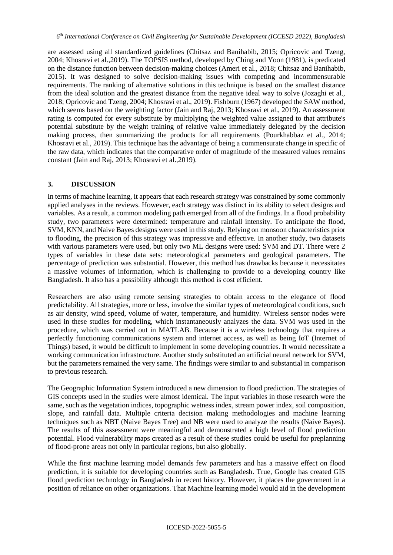are assessed using all standardized guidelines (Chitsaz and Banihabib, 2015; Opricovic and Tzeng, 2004; Khosravi et al.,2019). The TOPSIS method, developed by Ching and Yoon (1981), is predicated on the distance function between decision-making choices (Ameri et al., 2018; Chitsaz and Banihabib, 2015). It was designed to solve decision-making issues with competing and incommensurable requirements. The ranking of alternative solutions in this technique is based on the smallest distance from the ideal solution and the greatest distance from the negative ideal way to solve (Jozaghi et al., 2018; Opricovic and Tzeng, 2004; Khosravi et al., 2019). Fishburn (1967) developed the SAW method, which seems based on the weighting factor (Jain and Raj, 2013; Khosravi et al., 2019). An assessment rating is computed for every substitute by multiplying the weighted value assigned to that attribute's potential substitute by the weight training of relative value immediately delegated by the decision making process, then summarizing the products for all requirements (Pourkhabbaz et al., 2014; Khosravi et al., 2019). This technique has the advantage of being a commensurate change in specific of the raw data, which indicates that the comparative order of magnitude of the measured values remains constant (Jain and Raj, 2013; Khosravi et al.,2019).

#### **3. DISCUSSION**

In terms of machine learning, it appears that each research strategy was constrained by some commonly applied analyses in the reviews. However, each strategy was distinct in its ability to select designs and variables. As a result, a common modeling path emerged from all of the findings. In a flood probability study, two parameters were determined: temperature and rainfall intensity. To anticipate the flood, SVM, KNN, and Naive Bayes designs were used in this study. Relying on monsoon characteristics prior to flooding, the precision of this strategy was impressive and effective. In another study, two datasets with various parameters were used, but only two ML designs were used: SVM and DT. There were 2 types of variables in these data sets: meteorological parameters and geological parameters. The percentage of prediction was substantial. However, this method has drawbacks because it necessitates a massive volumes of information, which is challenging to provide to a developing country like Bangladesh. It also has a possibility although this method is cost efficient.

Researchers are also using remote sensing strategies to obtain access to the elegance of flood predictability. All strategies, more or less, involve the similar types of meteorological conditions, such as air density, wind speed, volume of water, temperature, and humidity. Wireless sensor nodes were used in these studies for modeling, which instantaneously analyzes the data. SVM was used in the procedure, which was carried out in MATLAB. Because it is a wireless technology that requires a perfectly functioning communications system and internet access, as well as being IoT (Internet of Things) based, it would be difficult to implement in some developing countries. It would necessitate a working communication infrastructure. Another study substituted an artificial neural network for SVM, but the parameters remained the very same. The findings were similar to and substantial in comparison to previous research.

The Geographic Information System introduced a new dimension to flood prediction. The strategies of GIS concepts used in the studies were almost identical. The input variables in those research were the same, such as the vegetation indices, topographic wetness index, stream power index, soil composition, slope, and rainfall data. Multiple criteria decision making methodologies and machine learning techniques such as NBT (Naive Bayes Tree) and NB were used to analyze the results (Naive Bayes). The results of this assessment were meaningful and demonstrated a high level of flood prediction potential. Flood vulnerability maps created as a result of these studies could be useful for preplanning of flood-prone areas not only in particular regions, but also globally.

While the first machine learning model demands few parameters and has a massive effect on flood prediction, it is suitable for developing countries such as Bangladesh. True, Google has created GIS flood prediction technology in Bangladesh in recent history. However, it places the government in a position of reliance on other organizations. That Machine learning model would aid in the development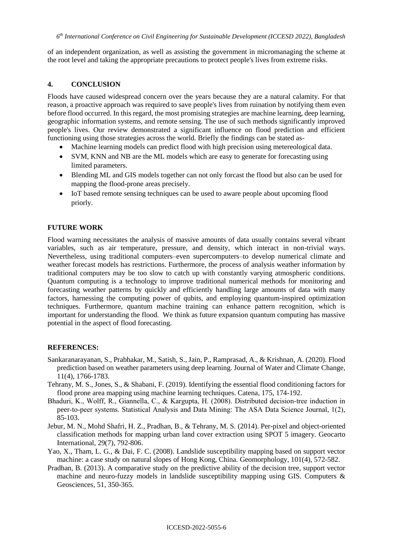*6 th International Conference on Civil Engineering for Sustainable Development (ICCESD 2022), Bangladesh*

of an independent organization, as well as assisting the government in micromanaging the scheme at the root level and taking the appropriate precautions to protect people's lives from extreme risks.

### **4. CONCLUSION**

Floods have caused widespread concern over the years because they are a natural calamity. For that reason, a proactive approach was required to save people's lives from ruination by notifying them even before flood occurred. In this regard, the most promising strategies are machine learning, deep learning, geographic information systems, and remote sensing. The use of such methods significantly improved people's lives. Our review demonstrated a significant influence on flood prediction and efficient functioning using those strategies across the world. Briefly the findings can be stated as-

- Machine learning models can predict flood with high precision using metereological data.
- SVM, KNN and NB are the ML models which are easy to generate for forecasting using limited parameters.
- Blending ML and GIS models together can not only forcast the flood but also can be used for mapping the flood-prone areas precisely.
- IoT based remote sensing techniques can be used to aware people about upcoming flood priorly.

### **FUTURE WORK**

Flood warning necessitates the analysis of massive amounts of data usually contains several vibrant variables, such as air temperature, pressure, and density, which interact in non-trivial ways. Nevertheless, using traditional computers–even supercomputers–to develop numerical climate and weather forecast models has restrictions. Furthermore, the process of analysis weather information by traditional computers may be too slow to catch up with constantly varying atmospheric conditions. Quantum computing is a technology to improve traditional numerical methods for monitoring and forecasting weather patterns by quickly and efficiently handling large amounts of data with many factors, harnessing the computing power of qubits, and employing quantum-inspired optimization techniques. Furthermore, quantum machine training can enhance pattern recognition, which is important for understanding the flood. We think as future expansion quantum computing has massive potential in the aspect of flood forecasting.

#### **REFERENCES:**

- Sankaranarayanan, S., Prabhakar, M., Satish, S., Jain, P., Ramprasad, A., & Krishnan, A. (2020). Flood prediction based on weather parameters using deep learning. Journal of Water and Climate Change, 11(4), 1766-1783.
- Tehrany, M. S., Jones, S., & Shabani, F. (2019). Identifying the essential flood conditioning factors for flood prone area mapping using machine learning techniques. Catena, 175, 174-192.
- Bhaduri, K., Wolff, R., Giannella, C., & Kargupta, H. (2008). Distributed decision‐tree induction in peer-to-peer systems. Statistical Analysis and Data Mining: The ASA Data Science Journal, 1(2), 85-103.
- Jebur, M. N., Mohd Shafri, H. Z., Pradhan, B., & Tehrany, M. S. (2014). Per-pixel and object-oriented classification methods for mapping urban land cover extraction using SPOT 5 imagery. Geocarto International, 29(7), 792-806.
- Yao, X., Tham, L. G., & Dai, F. C. (2008). Landslide susceptibility mapping based on support vector machine: a case study on natural slopes of Hong Kong, China. Geomorphology, 101(4), 572-582.
- Pradhan, B. (2013). A comparative study on the predictive ability of the decision tree, support vector machine and neuro-fuzzy models in landslide susceptibility mapping using GIS. Computers & Geosciences, 51, 350-365.